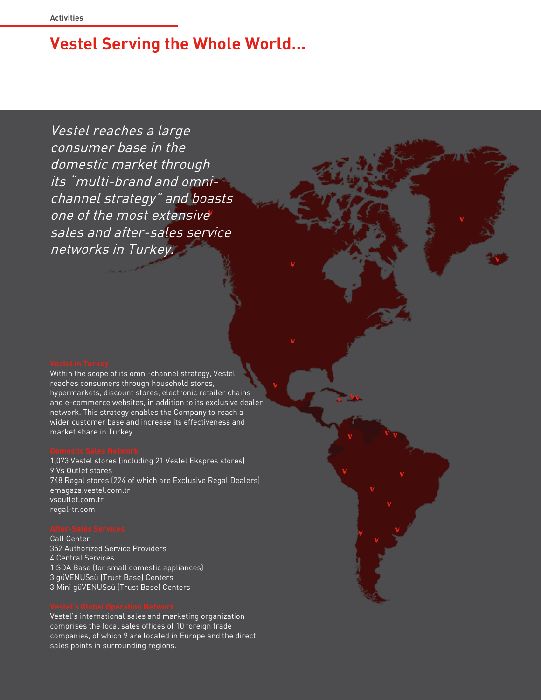# **Vestel Serving the Whole World...**

Vestel reaches a large consumer base in the domestic market through its "multi-brand and omnichannel strategy" and boasts one of the most extensive sales and after-sales service networks in Turkey.

Within the scope of its omni-channel strategy, Vestel reaches consumers through household stores, hypermarkets, discount stores, electronic retailer chains and e-commerce websites, in addition to its exclusive dealer network. This strategy enables the Company to reach a wider customer base and increase its effectiveness and market share in Turkey.

1,073 Vestel stores (including 21 Vestel Ekspres stores) 9 Vs Outlet stores 748 Regal stores (224 of which are Exclusive Regal Dealers) emagaza.vestel.com.tr vsoutlet.com.tr regal-tr.com

Call Center 352 Authorized Service Providers 4 Central Services 1 SDA Base (for small domestic appliances) 3 güVENUSsü (Trust Base) Centers 3 Mini güVENUSsü (Trust Base) Centers

Vestel's international sales and marketing organization comprises the local sales offices of 10 foreign trade companies, of which 9 are located in Europe and the direct sales points in surrounding regions.